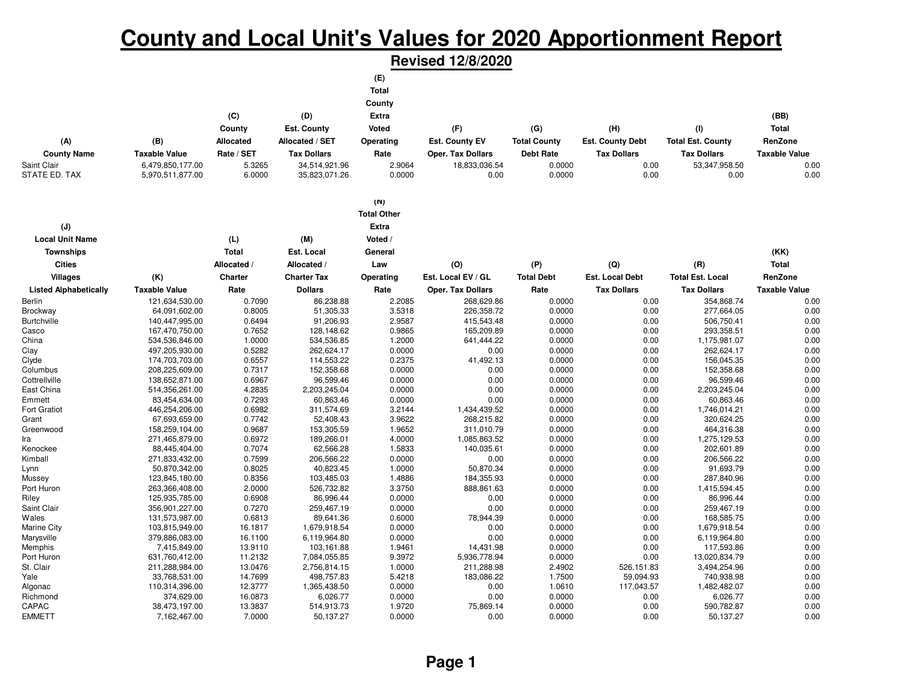## **County and Local Unit's Values for 2020 Apportionment Report**

**Revised 12/8/2020**

|                               |                                 |                    |                            | (E)                |                          |                     |                         |                            |                      |
|-------------------------------|---------------------------------|--------------------|----------------------------|--------------------|--------------------------|---------------------|-------------------------|----------------------------|----------------------|
|                               |                                 |                    |                            | <b>Total</b>       |                          |                     |                         |                            |                      |
|                               |                                 |                    |                            |                    |                          |                     |                         |                            |                      |
|                               |                                 |                    |                            | County             |                          |                     |                         |                            |                      |
|                               |                                 | (C)                | (D)                        | <b>Extra</b>       |                          |                     |                         |                            | (BB)                 |
|                               |                                 | County             | Est. County                | Voted              | (F)                      | (G)                 | (H)                     | (1)                        | <b>Total</b>         |
| (A)                           | (B)                             | Allocated          | Allocated / SET            | Operating          | Est. County EV           | <b>Total County</b> | <b>Est. County Debt</b> | <b>Total Est. County</b>   | RenZone              |
| <b>County Name</b>            | <b>Taxable Value</b>            | Rate / SET         | <b>Tax Dollars</b>         | Rate               | <b>Oper. Tax Dollars</b> | <b>Debt Rate</b>    | <b>Tax Dollars</b>      | <b>Tax Dollars</b>         | <b>Taxable Value</b> |
| Saint Clair                   | 6,479,850,177.00                | 5.3265             | 34,514,921.96              | 2.9064             | 18,833,036.54            | 0.0000              | 0.00                    | 53,347,958.50              | 0.00                 |
| STATE ED. TAX                 | 5,970,511,877.00                | 6.0000             | 35,823,071.26              | 0.0000             | 0.00                     | 0.0000              | 0.00                    | 0.00                       | 0.00                 |
|                               |                                 |                    |                            |                    |                          |                     |                         |                            |                      |
|                               |                                 |                    |                            | (N)                |                          |                     |                         |                            |                      |
|                               |                                 |                    |                            | <b>Total Other</b> |                          |                     |                         |                            |                      |
|                               |                                 |                    |                            | <b>Extra</b>       |                          |                     |                         |                            |                      |
| (J)                           |                                 |                    |                            |                    |                          |                     |                         |                            |                      |
| <b>Local Unit Name</b>        |                                 | (L)                | (M)                        | Voted /            |                          |                     |                         |                            |                      |
| <b>Townships</b>              |                                 | <b>Total</b>       | Est. Local                 | General            |                          |                     |                         |                            | (KK)                 |
| <b>Cities</b>                 |                                 | Allocated /        | Allocated /                | Law                | (0)                      | (P)                 | (Q)                     | (R)                        | <b>Total</b>         |
| <b>Villages</b>               | (K)                             | Charter            | <b>Charter Tax</b>         | Operating          | Est. Local EV / GL       | <b>Total Debt</b>   | Est. Local Debt         | <b>Total Est. Local</b>    | RenZone              |
| <b>Listed Alphabetically</b>  | <b>Taxable Value</b>            | Rate               | <b>Dollars</b>             | Rate               | <b>Oper. Tax Dollars</b> | Rate                | <b>Tax Dollars</b>      | <b>Tax Dollars</b>         | <b>Taxable Value</b> |
| Berlin                        | 121,634,530.00                  | 0.7090             | 86,238.88                  | 2.2085             | 268,629.86               | 0.0000              | 0.00                    | 354,868.74                 | 0.00                 |
| Brockway                      | 64,091,602.00                   | 0.8005             | 51,305.33                  | 3.5318             | 226,358.72               | 0.0000              | 0.00                    | 277,664.05                 | 0.00                 |
| <b>Burtchville</b>            | 140,447,995.00                  | 0.6494             | 91,206.93                  | 2.9587             | 415,543.48               | 0.0000              | 0.00                    | 506,750.41                 | 0.00                 |
| Casco                         | 167,470,750.00                  | 0.7652             | 128,148.62                 | 0.9865             | 165,209.89               | 0.0000              | 0.00                    | 293,358.51                 | 0.00                 |
| China                         | 534,536,846.00                  | 1.0000             | 534,536.85                 | 1.2000             | 641,444.22               | 0.0000              | 0.00                    | 1,175,981.07               | 0.00                 |
| Clay                          | 497,205,930.00                  | 0.5282             | 262,624.17                 | 0.0000             | 0.00                     | 0.0000              | 0.00                    | 262,624.17                 | 0.00                 |
| Clyde                         | 174,703,703.00                  | 0.6557             | 114,553.22                 | 0.2375             | 41,492.13                | 0.0000              | 0.00                    | 156,045.35                 | 0.00                 |
| Columbus                      | 208,225,609.00                  | 0.7317             | 152,358.68                 | 0.0000             | 0.00                     | 0.0000              | 0.00                    | 152,358.68                 | 0.00                 |
| Cottrellville                 | 138,652,871.00                  | 0.6967             | 96,599.46                  | 0.0000             | 0.00                     | 0.0000              | 0.00                    | 96,599.46                  | 0.00                 |
| East China                    | 514,356,261.00                  | 4.2835             | 2,203,245.04               | 0.0000             | 0.00<br>0.00             | 0.0000              | 0.00                    | 2,203,245.04               | 0.00                 |
| Emmett<br><b>Fort Gratiot</b> | 83,454,634.00<br>446,254,206.00 | 0.7293<br>0.6982   | 60,863.46<br>311,574.69    | 0.0000<br>3.2144   | 1,434,439.52             | 0.0000<br>0.0000    | 0.00<br>0.00            | 60,863.46<br>1,746,014.21  | 0.00<br>0.00         |
| Grant                         | 67,693,659.00                   | 0.7742             | 52,408.43                  | 3.9622             | 268,215.82               | 0.0000              | 0.00                    | 320,624.25                 | 0.00                 |
| Greenwood                     | 158,259,104.00                  | 0.9687             | 153,305.59                 | 1.9652             | 311,010.79               | 0.0000              | 0.00                    | 464,316.38                 | 0.00                 |
| Ira                           | 271,465,879.00                  | 0.6972             | 189,266.01                 | 4.0000             | 1,085,863.52             | 0.0000              | 0.00                    | 1,275,129.53               | 0.00                 |
| Kenockee                      | 88,445,404.00                   | 0.7074             | 62,566.28                  | 1.5833             | 140,035.61               | 0.0000              | 0.00                    | 202,601.89                 | 0.00                 |
| Kimball                       | 271,833,432.00                  | 0.7599             | 206,566.22                 | 0.0000             | 0.00                     | 0.0000              | 0.00                    | 206,566.22                 | 0.00                 |
| Lynn                          | 50,870,342.00                   | 0.8025             | 40,823.45                  | 1.0000             | 50,870.34                | 0.0000              | 0.00                    | 91,693.79                  | 0.00                 |
| Mussey                        | 123,845,180.00                  | 0.8356             | 103,485.03                 | 1.4886             | 184,355.93               | 0.0000              | 0.00                    | 287,840.96                 | 0.00                 |
| Port Huron                    | 263,366,408.00                  | 2.0000             | 526,732.82                 | 3.3750             | 888,861.63               | 0.0000              | 0.00                    | 1,415,594.45               | 0.00                 |
| Riley                         | 125,935,785.00                  | 0.6908             | 86,996.44                  | 0.0000             | 0.00                     | 0.0000              | 0.00                    | 86,996.44                  | 0.00                 |
| Saint Clair                   | 356,901,227.00                  | 0.7270             | 259,467.19                 | 0.0000             | 0.00                     | 0.0000              | 0.00                    | 259,467.19                 | 0.00                 |
| Wales                         | 131,573,987.00                  | 0.6813             | 89,641.36                  | 0.6000             | 78,944.39                | 0.0000              | 0.00                    | 168,585.75                 | 0.00                 |
| <b>Marine City</b>            | 103,815,949.00                  | 16.1817            | 1,679,918.54               | 0.0000             | 0.00                     | 0.0000              | 0.00                    | 1,679,918.54               | 0.00                 |
| Marysville                    | 379,886,083.00                  | 16.1100            | 6,119,964.80               | 0.0000             | 0.00                     | 0.0000              | 0.00                    | 6,119,964.80               | 0.00                 |
| Memphis                       | 7,415,849.00                    | 13.9110            | 103,161.88                 | 1.9461             | 14,431.98                | 0.0000              | 0.00                    | 117,593.86                 | 0.00                 |
| Port Huron<br>St. Clair       | 631,760,412.00                  | 11.2132            | 7,084,055.85               | 9.3972             | 5,936,778.94             | 0.0000<br>2.4902    | 0.00                    | 13,020,834.79              | 0.00<br>0.00         |
| Yale                          | 211,288,984.00<br>33,768,531.00 | 13.0476<br>14.7699 | 2,756,814.15<br>498,757.83 | 1.0000<br>5.4218   | 211,288.98<br>183,086.22 | 1.7500              | 526,151.83<br>59,094.93 | 3,494,254.96<br>740,938.98 | 0.00                 |
| Algonac                       | 110,314,396.00                  | 12.3777            | 1,365,438.50               | 0.0000             | 0.00                     | 1.0610              | 117,043.57              | 1,482,482.07               | 0.00                 |
| Richmond                      | 374,629.00                      | 16.0873            | 6,026.77                   | 0.0000             | 0.00                     | 0.0000              | 0.00                    | 6,026.77                   | 0.00                 |
| <b>CAPAC</b>                  | 38,473,197.00                   | 13.3837            | 514,913.73                 | 1.9720             | 75,869.14                | 0.0000              | 0.00                    | 590,782.87                 | 0.00                 |
| <b>EMMETT</b>                 | 7,162,467.00                    | 7.0000             | 50,137.27                  | 0.0000             | 0.00                     | 0.0000              | 0.00                    | 50,137.27                  | 0.00                 |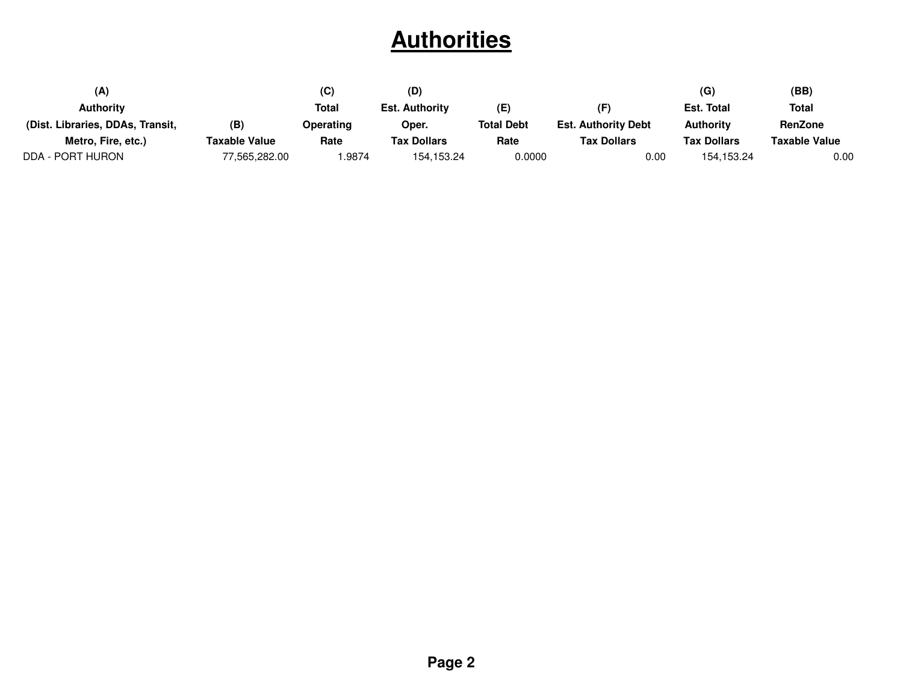# **Authorities**

| (A)                              |               | (C)          | (D)                   |                   |                            | (G)                | (BB)           |
|----------------------------------|---------------|--------------|-----------------------|-------------------|----------------------------|--------------------|----------------|
| <b>Authority</b>                 |               | <b>Total</b> | <b>Est. Authority</b> | (E)               | (F)                        | Est. Total         | Total          |
| (Dist. Libraries, DDAs, Transit, | (B)           | Operating    | Oper.                 | <b>Total Debt</b> | <b>Est. Authority Debt</b> | <b>Authority</b>   | <b>RenZone</b> |
| Metro, Fire, etc.)               | Taxable Value | Rate         | <b>Tax Dollars</b>    | Rate              | <b>Tax Dollars</b>         | <b>Tax Dollars</b> | Taxable Value  |
| DDA - PORT HURON                 | 77,565,282.00 | .9874        | 154, 153. 24          | 0.0000            | 0.00                       | 154.153.24         | $0.00\,$       |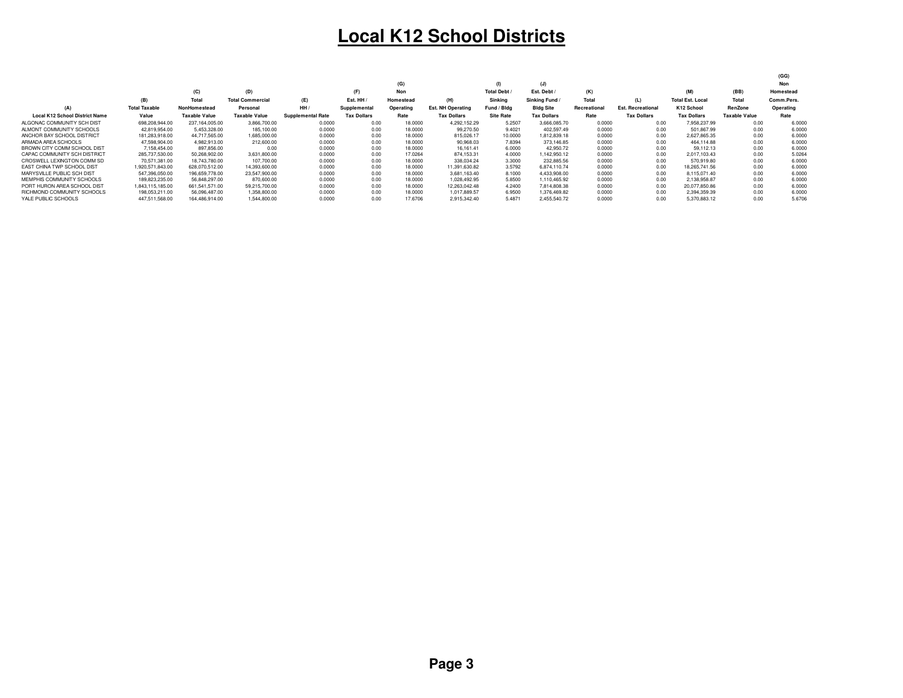## **Local K12 School Districts**

|                                       |                      |                      |                         |                          |                    |           |                          |                   |                    |              |                          |                         |                      | (GG)       |
|---------------------------------------|----------------------|----------------------|-------------------------|--------------------------|--------------------|-----------|--------------------------|-------------------|--------------------|--------------|--------------------------|-------------------------|----------------------|------------|
|                                       |                      |                      |                         |                          |                    | (G)       |                          |                   | (J)                |              |                          |                         |                      | Non        |
|                                       |                      | (C)                  | (D)                     |                          | (F)                | Non       |                          | <b>Total Debt</b> | Est. Debt          | (K)          |                          | (M)                     | (BB)                 | Homestead  |
|                                       | (B)                  | Total                | <b>Total Commercial</b> | (E)                      | Est. HH            | Homestead | (H)                      | Sinkina           | Sinking Fund /     | Total        | (L)                      | <b>Total Est. Local</b> | Total                | Comm.Pers. |
| (A)                                   | <b>Total Taxable</b> | <b>NonHomestead</b>  | Personal                | HH/                      | Supplemental       | Operating | <b>Est. NH Operating</b> | Fund / Blda       | <b>Bldg Site</b>   | Recreational | <b>Est. Recreational</b> | K12 School              | RenZone              | Operating  |
| <b>Local K12 School District Name</b> | Value                | <b>Taxable Value</b> | <b>Taxable Value</b>    | <b>Supplemental Rate</b> | <b>Tax Dollars</b> | Rate      | <b>Tax Dollars</b>       | <b>Site Rate</b>  | <b>Tax Dollars</b> | Rate         | <b>Tax Dollars</b>       | <b>Tax Dollars</b>      | <b>Taxable Value</b> | Rate       |
| ALGONAC COMMUNITY SCH DIST            | 698.208.944.00       | 237.164.005.00       | 3.866.700.00            | 0.0000                   | 0.00               | 18,0000   | 4.292.152.29             | 5.2507            | 3.666.085.70       | 0.0000       | 0.00                     | 7.958.237.99            | 0.00                 | 6.0000     |
| ALMONT COMMUNITY SCHOOLS              | 42.819.954.00        | 5,453,328.00         | 185,100.00              | 0.0000                   | 0.00               | 18,0000   | 99,270.50                | 9.4021            | 402.597.49         | 0.0000       | 0.00                     | 501.867.99              | 0.00                 | 6.0000     |
| ANCHOR BAY SCHOOL DISTRICT            | 181.283.918.00       | 44.717.565.00        | 1,685,000.00            | 0.0000                   | 0.00               | 18,0000   | 815.026.17               | 10,0000           | 1.812.839.18       | 0.0000       | 0.00                     | 2.627.865.35            | 0.00                 | 6.0000     |
| ARMADA AREA SCHOOLS                   | 47.598.904.00        | 4.982.913.00         | 212,600.00              | 0.0000                   | 0.00               | 18,0000   | 90.968.03                | 7.8394            | 373.146.85         | 0.0000       | 0.00                     | 464.114.88              | 0.00                 | 6,0000     |
| BROWN CITY COMM SCHOOL DIST           | 7,158,454.00         | 897,856.00           | 0.00                    | 0.0000                   | 0.00               | 18,0000   | 16.161.41                | 6,0000            | 42.950.72          | 0.0000       | 0.00                     | 59.112.13               | 0.00                 | 6.000      |
| CAPAC COMMUNITY SCH DISTRICT          | 285.737.530.00       | 50.268.902.00        | 3.631.800.00            | 0.0000                   | 0.00               | 17.0264   | 874.153.31               | 4.0000            | 1.142.950.12       | 0.0000       | 0.00                     | 2.017.103.43            | 0.00                 | 5.0264     |
| CROSWELL LEXINGTON COMM SD            | 70.571.381.00        | 18.743.780.00        | 107.700.00              | 0.0000                   | 0.00               | 18,0000   | 338.034.24               | 3.3000            | 232.885.56         | 0.0000       | 0.00                     | 570.919.80              | 0.00                 | 6,0000     |
| EAST CHINA TWP SCHOOL DIST            | 1.920.571.843.00     | 628.070.512.00       | 14.393.600.00           | 0.0000                   | 0.00               | 18,0000   | 11.391.630.82            | 3.5792            | 6.874.110.74       | 0.0000       | 0.00                     | 18.265.741.56           | 0.00                 | 6.0000     |
| MARYSVILLE PUBLIC SCH DIST            | 547,396,050.00       | 196.659.778.00       | 23,547,900.00           | 0.0000                   | 0.00               | 18,0000   | 3.681.163.40             | 8.1000            | 4.433.908.00       | 0.0000       | 0.00                     | 8.115.071.40            | 0.00                 | 6,0000     |
| MEMPHIS COMMUNITY SCHOOLS             | 189,823,235.00       | 56.848.297.00        | 870,600.00              | 0.0000                   | 0.00               | 18,0000   | 1.028.492.95             | 5,8500            | 1.110.465.92       | 0.0000       | 0.00                     | 2.138.958.87            | 0.00                 | 6.0000     |
| PORT HURON AREA SCHOOL DIST           | 1.843.115.185.00     | 661.541.571.00       | 59.215.700.00           | 0.0000                   | 0.00               | 18,0000   | 12.263.042.48            | 4.2400            | 7.814.808.38       | 0.0000       | 0.00                     | 20.077.850.86           | 0.00                 | 6.000      |
| RICHMOND COMMUNITY SCHOOLS            | 198.053.211.00       | 56.096.487.00        | 1,358,800.00            | 0.0000                   | 0.00               | 18,0000   | 1.017.889.57             | 6.9500            | 1.376.469.82       | 0.0000       | 0.00                     | 2.394.359.39            | 0.00                 | 6,0000     |
| YALE PUBLIC SCHOOLS                   | 447.511.568.00       | 164.486.914.00       | 1.544.800.00            | 0.0000                   | 0.00               | 17.6706   | 2.915.342.40             | 5.4871            | 2.455.540.72       | 0.0000       | 0.00                     | 5.370.883.12            | 0.00                 | 5.6706     |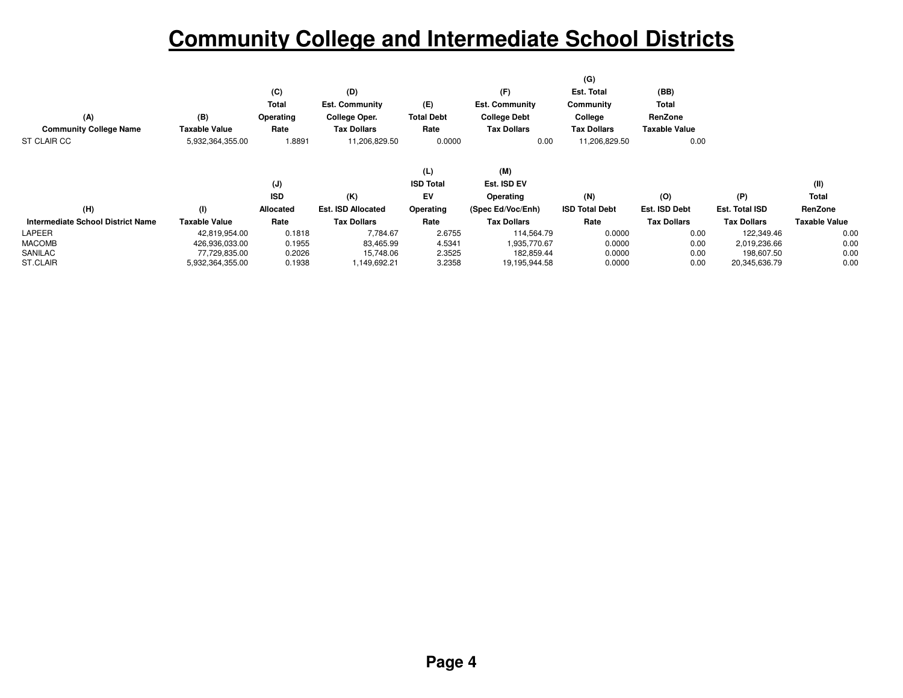# **Community College and Intermediate School Districts**

|                                   |                  |                |                           |                   |                       | (G)                   |                      |                    |                      |
|-----------------------------------|------------------|----------------|---------------------------|-------------------|-----------------------|-----------------------|----------------------|--------------------|----------------------|
|                                   |                  | (C)            | (D)                       |                   | (F)                   | Est. Total            | (BB)                 |                    |                      |
|                                   |                  | Total          | <b>Est. Community</b>     | (E)               | <b>Est. Community</b> | Community             | Total                |                    |                      |
| (A)                               | (B)              | Operating      | College Oper.             | <b>Total Debt</b> | <b>College Debt</b>   | College               | RenZone              |                    |                      |
| <b>Community College Name</b>     | Taxable Value    | Rate           | <b>Tax Dollars</b>        | Rate              | <b>Tax Dollars</b>    | <b>Tax Dollars</b>    | <b>Taxable Value</b> |                    |                      |
| ST CLAIR CC                       | 5,932,364,355.00 | 1.8891         | 11,206,829.50             | 0.0000            | 0.00                  | 11,206,829.50         | 0.00                 |                    |                      |
|                                   |                  |                |                           |                   |                       |                       |                      |                    |                      |
|                                   |                  |                |                           | (L)               | (M)                   |                       |                      |                    |                      |
|                                   |                  | $(\mathsf{J})$ |                           | <b>ISD Total</b>  | Est. ISD EV           |                       |                      |                    | (II)                 |
|                                   |                  | <b>ISD</b>     | (K)                       | EV                | Operating             | (N)                   | (O)                  | (P)                | <b>Total</b>         |
| (H)                               | (1)              | Allocated      | <b>Est. ISD Allocated</b> | Operating         | (Spec Ed/Voc/Enh)     | <b>ISD Total Debt</b> | Est. ISD Debt        | Est. Total ISD     | RenZone              |
| Intermediate School District Name | Taxable Value    | Rate           | <b>Tax Dollars</b>        | Rate              | <b>Tax Dollars</b>    | Rate                  | <b>Tax Dollars</b>   | <b>Tax Dollars</b> | <b>Taxable Value</b> |
| LAPEER                            | 42,819,954.00    | 0.1818         | 7,784.67                  | 2.6755            | 114,564.79            | 0.0000                | 0.00                 | 122,349.46         | 0.00                 |
| <b>MACOMB</b>                     | 426,936,033.00   | 0.1955         | 83,465.99                 | 4.5341            | 1,935,770.67          | 0.0000                | 0.00                 | 2,019,236.66       | 0.00                 |
| SANILAC                           | 77,729,835.00    | 0.2026         | 15,748.06                 | 2.3525            | 182,859.44            | 0.0000                | 0.00                 | 198,607.50         | 0.00                 |
| ST.CLAIR                          | 5,932,364,355.00 | 0.1938         | 1,149,692.21              | 3.2358            | 19,195,944.58         | 0.0000                | 0.00                 | 20,345,636.79      | 0.00                 |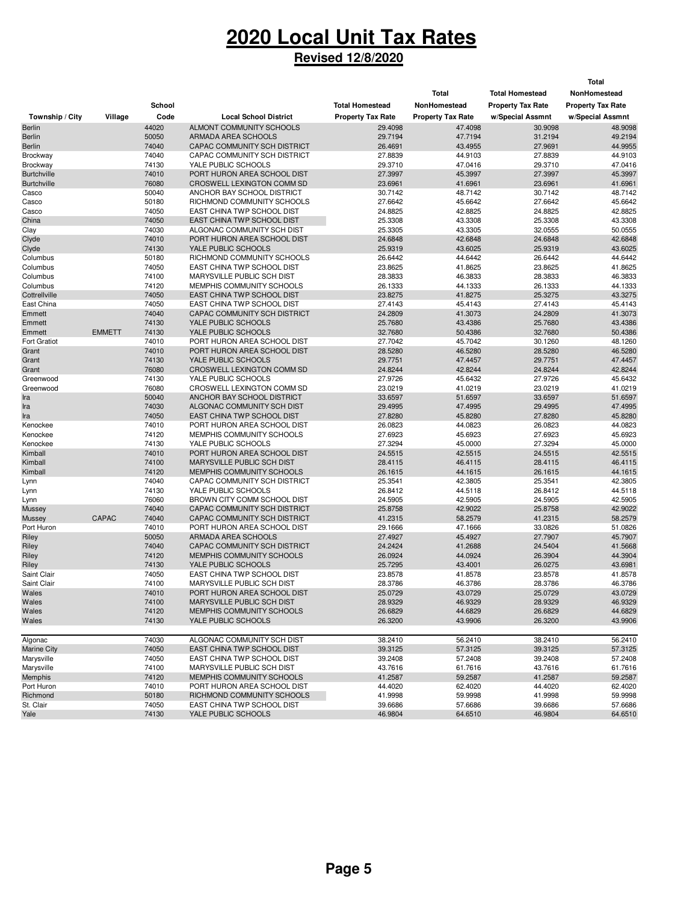# **2020 Local Unit Tax Rates**

#### **Revised 12/8/2020**

|                                |               |                |                                                              |                          |                          |                          | <b>Total</b>             |
|--------------------------------|---------------|----------------|--------------------------------------------------------------|--------------------------|--------------------------|--------------------------|--------------------------|
|                                |               |                |                                                              |                          | Total                    | <b>Total Homestead</b>   | NonHomestead             |
|                                |               | School         |                                                              | <b>Total Homestead</b>   | NonHomestead             | <b>Property Tax Rate</b> | <b>Property Tax Rate</b> |
|                                |               |                |                                                              |                          |                          |                          |                          |
| Township / City                | Village       | Code           | <b>Local School District</b>                                 | <b>Property Tax Rate</b> | <b>Property Tax Rate</b> | w/Special Assmnt         | w/Special Assmnt         |
| Berlin                         |               | 44020          | ALMONT COMMUNITY SCHOOLS                                     | 29.4098                  | 47.4098                  | 30.9098                  | 48.9098                  |
| Berlin                         |               | 50050          | ARMADA AREA SCHOOLS                                          | 29.7194                  | 47.7194                  | 31.2194                  | 49.2194<br>44.9955       |
| Berlin                         |               | 74040          | CAPAC COMMUNITY SCH DISTRICT<br>CAPAC COMMUNITY SCH DISTRICT | 26.4691                  | 43.4955                  | 27.9691                  |                          |
| Brockway                       |               | 74040<br>74130 |                                                              | 27.8839                  | 44.9103                  | 27.8839                  | 44.9103                  |
| Brockway<br><b>Burtchville</b> |               | 74010          | YALE PUBLIC SCHOOLS<br>PORT HURON AREA SCHOOL DIST           | 29.3710<br>27.3997       | 47.0416<br>45.3997       | 29.3710<br>27.3997       | 47.0416<br>45.3997       |
| <b>Burtchville</b>             |               | 76080          | CROSWELL LEXINGTON COMM SD                                   | 23.6961                  | 41.6961                  | 23.6961                  | 41.6961                  |
| Casco                          |               | 50040          | ANCHOR BAY SCHOOL DISTRICT                                   | 30.7142                  | 48.7142                  | 30.7142                  | 48.7142                  |
|                                |               | 50180          | RICHMOND COMMUNITY SCHOOLS                                   | 27.6642                  | 45.6642                  | 27.6642                  | 45.6642                  |
| Casco<br>Casco                 |               | 74050          | EAST CHINA TWP SCHOOL DIST                                   | 24.8825                  | 42.8825                  | 24.8825                  | 42.8825                  |
| China                          |               | 74050          | EAST CHINA TWP SCHOOL DIST                                   | 25.3308                  | 43.3308                  | 25.3308                  | 43.3308                  |
| Clay                           |               | 74030          | ALGONAC COMMUNITY SCH DIST                                   | 25.3305                  | 43.3305                  | 32.0555                  | 50.0555                  |
| Clyde                          |               | 74010          | PORT HURON AREA SCHOOL DIST                                  | 24.6848                  | 42.6848                  | 24.6848                  | 42.6848                  |
| Clyde                          |               | 74130          | YALE PUBLIC SCHOOLS                                          | 25.9319                  | 43.6025                  | 25.9319                  | 43.6025                  |
| Columbus                       |               | 50180          | RICHMOND COMMUNITY SCHOOLS                                   | 26.6442                  | 44.6442                  | 26.6442                  | 44.6442                  |
| Columbus                       |               | 74050          | EAST CHINA TWP SCHOOL DIST                                   | 23.8625                  | 41.8625                  | 23.8625                  | 41.8625                  |
| Columbus                       |               | 74100          | MARYSVILLE PUBLIC SCH DIST                                   | 28.3833                  | 46.3833                  | 28.3833                  | 46.3833                  |
| Columbus                       |               | 74120          | MEMPHIS COMMUNITY SCHOOLS                                    | 26.1333                  | 44.1333                  | 26.1333                  | 44.1333                  |
| Cottrellville                  |               | 74050          | EAST CHINA TWP SCHOOL DIST                                   | 23.8275                  | 41.8275                  | 25.3275                  | 43.3275                  |
| East China                     |               | 74050          | EAST CHINA TWP SCHOOL DIST                                   | 27.4143                  | 45.4143                  | 27.4143                  | 45.4143                  |
| Emmett                         |               | 74040          | CAPAC COMMUNITY SCH DISTRICT                                 | 24.2809                  | 41.3073                  | 24.2809                  | 41.3073                  |
| Emmett                         |               | 74130          | YALE PUBLIC SCHOOLS                                          | 25.7680                  | 43.4386                  | 25.7680                  | 43.4386                  |
| Emmett                         | <b>EMMETT</b> | 74130          | YALE PUBLIC SCHOOLS                                          | 32.7680                  | 50.4386                  | 32.7680                  | 50.4386                  |
| <b>Fort Gratiot</b>            |               | 74010          | PORT HURON AREA SCHOOL DIST                                  | 27.7042                  | 45.7042                  | 30.1260                  | 48.1260                  |
|                                |               | 74010          | PORT HURON AREA SCHOOL DIST                                  | 28.5280                  | 46.5280                  | 28.5280                  | 46.5280                  |
| Grant<br>Grant                 |               | 74130          | YALE PUBLIC SCHOOLS                                          | 29.7751                  | 47.4457                  | 29.7751                  | 47.4457                  |
| Grant                          |               | 76080          | CROSWELL LEXINGTON COMM SD                                   | 24.8244                  | 42.8244                  | 24.8244                  | 42.8244                  |
|                                |               |                |                                                              | 27.9726                  |                          |                          |                          |
| Greenwood<br>Greenwood         |               | 74130          | YALE PUBLIC SCHOOLS                                          |                          | 45.6432                  | 27.9726                  | 45.6432                  |
|                                |               | 76080          | CROSWELL LEXINGTON COMM SD                                   | 23.0219                  | 41.0219                  | 23.0219                  | 41.0219                  |
| Ira                            |               | 50040          | ANCHOR BAY SCHOOL DISTRICT                                   | 33.6597                  | 51.6597                  | 33.6597                  | 51.6597                  |
| Ira                            |               | 74030          | ALGONAC COMMUNITY SCH DIST                                   | 29.4995                  | 47.4995                  | 29.4995                  | 47.4995                  |
| Ira                            |               | 74050<br>74010 | EAST CHINA TWP SCHOOL DIST                                   | 27.8280                  | 45.8280                  | 27.8280                  | 45.8280                  |
| Kenockee                       |               |                | PORT HURON AREA SCHOOL DIST                                  | 26.0823                  | 44.0823                  | 26.0823                  | 44.0823                  |
| Kenockee<br>Kenockee           |               | 74120<br>74130 | MEMPHIS COMMUNITY SCHOOLS<br>YALE PUBLIC SCHOOLS             | 27.6923<br>27.3294       | 45.6923<br>45.0000       | 27.6923<br>27.3294       | 45.6923<br>45.0000       |
| Kimball                        |               | 74010          | PORT HURON AREA SCHOOL DIST                                  | 24.5515                  | 42.5515                  | 24.5515                  | 42.5515                  |
| Kimball                        |               | 74100          | MARYSVILLE PUBLIC SCH DIST                                   | 28.4115                  | 46.4115                  | 28.4115                  | 46.4115                  |
| Kimball                        |               | 74120          | MEMPHIS COMMUNITY SCHOOLS                                    | 26.1615                  | 44.1615                  | 26.1615                  | 44.1615                  |
| Lynn                           |               | 74040          | CAPAC COMMUNITY SCH DISTRICT                                 | 25.3541                  | 42.3805                  | 25.3541                  | 42.3805                  |
| Lynn                           |               | 74130          | YALE PUBLIC SCHOOLS                                          | 26.8412                  | 44.5118                  | 26.8412                  | 44.5118                  |
| Lynn                           |               | 76060          | BROWN CITY COMM SCHOOL DIST                                  | 24.5905                  | 42.5905                  | 24.5905                  | 42.5905                  |
| Mussey                         |               | 74040          | CAPAC COMMUNITY SCH DISTRICT                                 | 25.8758                  | 42.9022                  | 25.8758                  | 42.9022                  |
| <b>Mussey</b>                  | CAPAC         | 74040          | CAPAC COMMUNITY SCH DISTRICT                                 | 41.2315                  | 58.2579                  | 41.2315                  | 58.2579                  |
| Port Huron                     |               | 74010          | PORT HURON AREA SCHOOL DIST                                  | 29.1666                  | 47.1666                  | 33.0826                  | 51.0826                  |
| Riley                          |               | 50050          | ARMADA AREA SCHOOLS                                          | 27.4927                  | 45.4927                  | 27.7907                  | 45.7907                  |
| Riley                          |               | 74040          | CAPAC COMMUNITY SCH DISTRICT                                 | 24.2424                  | 41.2688                  | 24.5404                  | 41.5668                  |
| Riley                          |               | 74120          | MEMPHIS COMMUNITY SCHOOLS                                    | 26.0924                  | 44.0924                  | 26.3904                  | 44.3904                  |
| Riley                          |               | 74130          | YALE PUBLIC SCHOOLS                                          | 25.7295                  | 43.4001                  | 26.0275                  | 43.6981                  |
| Saint Clair                    |               | 74050          | EAST CHINA TWP SCHOOL DIST                                   | 23.8578                  | 41.8578                  | 23.8578                  | 41.8578                  |
| Saint Clair                    |               | 74100          | MARYSVILLE PUBLIC SCH DIST                                   | 28.3786                  | 46.3786                  | 28.3786                  | 46.3786                  |
| Wales                          |               | 74010          | PORT HURON AREA SCHOOL DIST                                  | 25.0729                  | 43.0729                  | 25.0729                  | 43.0729                  |
| Wales                          |               | 74100          | MARYSVILLE PUBLIC SCH DIST                                   | 28.9329                  | 46.9329                  | 28.9329                  | 46.9329                  |
| Wales                          |               | 74120          | MEMPHIS COMMUNITY SCHOOLS                                    | 26.6829                  | 44.6829                  | 26.6829                  | 44.6829                  |
| Wales                          |               | 74130          | YALE PUBLIC SCHOOLS                                          | 26.3200                  | 43.9906                  | 26.3200                  | 43.9906                  |
|                                |               |                |                                                              |                          |                          |                          |                          |
| Algonac                        |               | 74030          | ALGONAC COMMUNITY SCH DIST                                   | 38.2410                  | 56.2410                  | 38.2410                  | 56.2410                  |
| <b>Marine City</b>             |               | 74050          | EAST CHINA TWP SCHOOL DIST                                   | 39.3125                  | 57.3125                  | 39.3125                  | 57.3125                  |
| Marysville                     |               | 74050          | EAST CHINA TWP SCHOOL DIST                                   | 39.2408                  | 57.2408                  | 39.2408                  | 57.2408                  |
| Marysville                     |               | 74100          | MARYSVILLE PUBLIC SCH DIST                                   | 43.7616                  | 61.7616                  | 43.7616                  | 61.7616                  |
| Memphis                        |               | 74120          | MEMPHIS COMMUNITY SCHOOLS                                    | 41.2587                  | 59.2587                  | 41.2587                  | 59.2587                  |
| Port Huron                     |               | 74010          | PORT HURON AREA SCHOOL DIST                                  | 44.4020                  | 62.4020                  | 44.4020                  | 62.4020                  |
| Richmond                       |               | 50180          | RICHMOND COMMUNITY SCHOOLS                                   | 41.9998                  | 59.9998                  | 41.9998                  | 59.9998                  |
| St. Clair                      |               | 74050          | EAST CHINA TWP SCHOOL DIST                                   | 39.6686                  | 57.6686                  | 39.6686                  | 57.6686                  |
| Yale                           |               | 74130          | YALE PUBLIC SCHOOLS                                          | 46.9804                  | 64.6510                  | 46.9804                  | 64.6510                  |
|                                |               |                |                                                              |                          |                          |                          |                          |